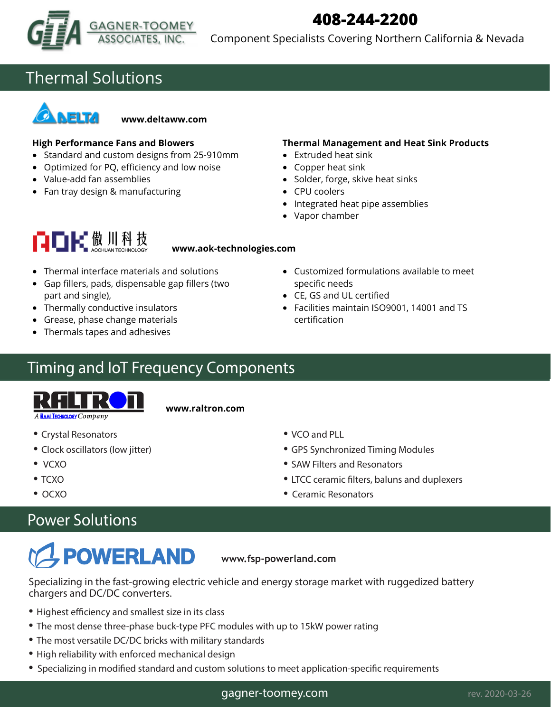

## **408-244-2200**

Component Specialists Covering Northern California & Nevada

## Thermal Solutions



**www.deltaww.com**

### **High Performance Fans and Blowers**

- Standard and custom designs from 25-910mm
- Optimized for PQ, efficiency and low noise
- Value-add fan assemblies
- Fan tray design & manufacturing

### **Thermal Management and Heat Sink Products**

- $\bullet$  Extruded heat sink
- Copper heat sink
- Solder, forge, skive heat sinks
- CPU coolers
- Integrated heat pipe assemblies
- Vapor chamber

# 自自民傲川科技

### **www.aok-technologies.com**

- Thermal interface materials and solutions
- Gap fillers, pads, dispensable gap fillers (two part and single),
- Thermally conductive insulators
- Grease, phase change materials
- Thermals tapes and adhesives

## Timing and IoT Frequency Components



**www.raltron.com**

- Crystal Resonators
- Clock oscillators (low jitter)
- VCXO
- $\mathcal{L}(\mathcal{N})$ • TCXO
- Low power OCXO • OCXO

### Power Solutions Power Solutions

# **POWERLAND**

**www.fsp-powerland.com www.fsp-powerland.com**

Specializing in the fast-growing electric vehicle and energy storage market with ruggedized battery **chargers and DC/DC converters.** chargers and DC/DC converters.

- $\mathcal{H}_{\mathcal{A}}$  is a smallest size in its class size in its class size in its class size in its class size in its class • Highest efficiency and smallest size in its class
- The most dense three-phase buck-type PFC modules with up to 15kW power rating
- The most versatile DC/DC bricks with military standards
- High reliability with enforced mechanical design
- Specializing in modified standard and custom solutions to meet application-specific requirements
- Customized formulations available to meet specific needs
- CE, GS and UL certified
- Facilities maintain ISO9001, 14001 and TS certification

- VCO and PLL
- GPS Synchronized Timing Modules

**www.gagne-toomey.com** rev. 2020-03-17

- SAW Filters and Resonators
- LTCC ceramic filters, baluns and duplexers
- Ceramic Resonators